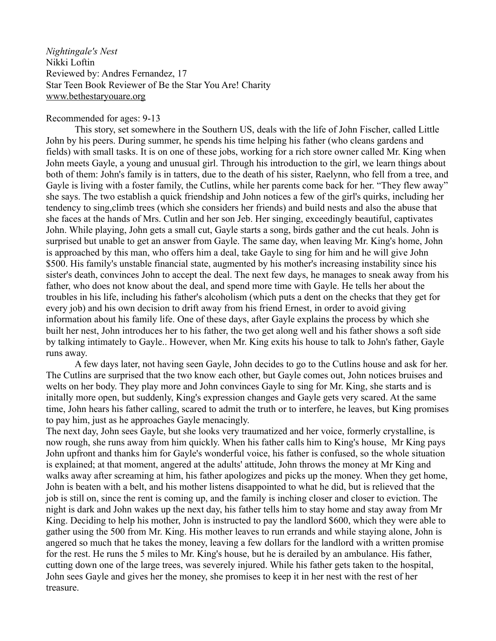*Nightingale's Nest* Nikki Loftin Reviewed by: Andres Fernandez, 17 Star Teen Book Reviewer of Be the Star You Are! Charity [www.bethestaryouare.org](http://www.bethestaryouare.org/)

## Recommended for ages: 9-13

This story, set somewhere in the Southern US, deals with the life of John Fischer, called Little John by his peers. During summer, he spends his time helping his father (who cleans gardens and fields) with small tasks. It is on one of these jobs, working for a rich store owner called Mr. King when John meets Gayle, a young and unusual girl. Through his introduction to the girl, we learn things about both of them: John's family is in tatters, due to the death of his sister, Raelynn, who fell from a tree, and Gayle is living with a foster family, the Cutlins, while her parents come back for her. "They flew away" she says. The two establish a quick friendship and John notices a few of the girl's quirks, including her tendency to sing,climb trees (which she considers her friends) and build nests and also the abuse that she faces at the hands of Mrs. Cutlin and her son Jeb. Her singing, exceedingly beautiful, captivates John. While playing, John gets a small cut, Gayle starts a song, birds gather and the cut heals. John is surprised but unable to get an answer from Gayle. The same day, when leaving Mr. King's home, John is approached by this man, who offers him a deal, take Gayle to sing for him and he will give John \$500. His family's unstable financial state, augmented by his mother's increasing instability since his sister's death, convinces John to accept the deal. The next few days, he manages to sneak away from his father, who does not know about the deal, and spend more time with Gayle. He tells her about the troubles in his life, including his father's alcoholism (which puts a dent on the checks that they get for every job) and his own decision to drift away from his friend Ernest, in order to avoid giving information about his family life. One of these days, after Gayle explains the process by which she built her nest, John introduces her to his father, the two get along well and his father shows a soft side by talking intimately to Gayle.. However, when Mr. King exits his house to talk to John's father, Gayle runs away.

A few days later, not having seen Gayle, John decides to go to the Cutlins house and ask for her. The Cutlins are surprised that the two know each other, but Gayle comes out, John notices bruises and welts on her body. They play more and John convinces Gayle to sing for Mr. King, she starts and is initally more open, but suddenly, King's expression changes and Gayle gets very scared. At the same time, John hears his father calling, scared to admit the truth or to interfere, he leaves, but King promises to pay him, just as he approaches Gayle menacingly.

The next day, John sees Gayle, but she looks very traumatized and her voice, formerly crystalline, is now rough, she runs away from him quickly. When his father calls him to King's house, Mr King pays John upfront and thanks him for Gayle's wonderful voice, his father is confused, so the whole situation is explained; at that moment, angered at the adults' attitude, John throws the money at Mr King and walks away after screaming at him, his father apologizes and picks up the money. When they get home, John is beaten with a belt, and his mother listens disappointed to what he did, but is relieved that the job is still on, since the rent is coming up, and the family is inching closer and closer to eviction. The night is dark and John wakes up the next day, his father tells him to stay home and stay away from Mr King. Deciding to help his mother, John is instructed to pay the landlord \$600, which they were able to gather using the 500 from Mr. King. His mother leaves to run errands and while staying alone, John is angered so much that he takes the money, leaving a few dollars for the landlord with a written promise for the rest. He runs the 5 miles to Mr. King's house, but he is derailed by an ambulance. His father, cutting down one of the large trees, was severely injured. While his father gets taken to the hospital, John sees Gayle and gives her the money, she promises to keep it in her nest with the rest of her treasure.